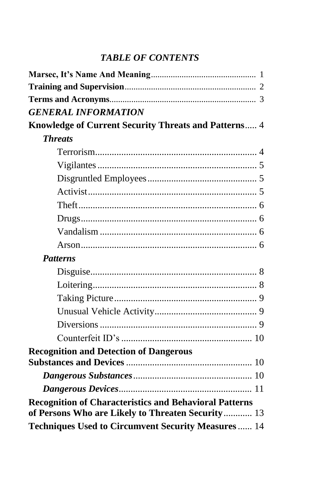# *TABLE OF CONTENTS*

| <b>GENERAL INFORMATION</b>                                    |  |
|---------------------------------------------------------------|--|
| Knowledge of Current Security Threats and Patterns 4          |  |
| <b>Threats</b>                                                |  |
|                                                               |  |
|                                                               |  |
|                                                               |  |
|                                                               |  |
|                                                               |  |
|                                                               |  |
|                                                               |  |
|                                                               |  |
| <b>Patterns</b>                                               |  |
|                                                               |  |
|                                                               |  |
|                                                               |  |
|                                                               |  |
|                                                               |  |
|                                                               |  |
| <b>Recognition and Detection of Dangerous</b>                 |  |
|                                                               |  |
|                                                               |  |
| <b>Recognition of Characteristics and Behavioral Patterns</b> |  |
| of Persons Who are Likely to Threaten Security 13             |  |
| Techniques Used to Circumvent Security Measures  14           |  |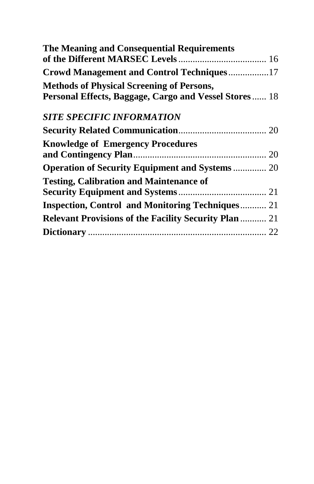| The Meaning and Consequential Requirements                   |  |
|--------------------------------------------------------------|--|
|                                                              |  |
| <b>Crowd Management and Control Techniques17</b>             |  |
| <b>Methods of Physical Screening of Persons,</b>             |  |
| Personal Effects, Baggage, Cargo and Vessel Stores 18        |  |
| <b>SITE SPECIFIC INFORMATION</b>                             |  |
|                                                              |  |
| <b>Knowledge of Emergency Procedures</b>                     |  |
|                                                              |  |
| <b>Operation of Security Equipment and Systems 20</b>        |  |
| <b>Testing, Calibration and Maintenance of</b>               |  |
|                                                              |  |
| <b>Inspection, Control and Monitoring Techniques 21</b>      |  |
| <b>Relevant Provisions of the Facility Security Plan  21</b> |  |
|                                                              |  |
|                                                              |  |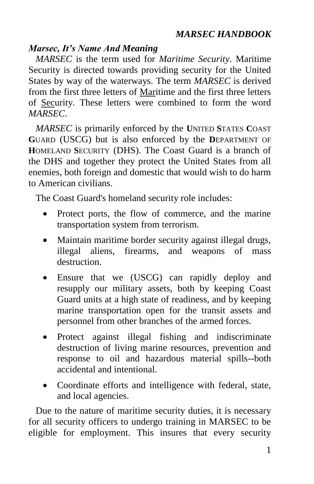### *Marsec, It's Name And Meaning*

*MARSEC* is the term used for *Maritime Security*. Maritime Security is directed towards providing security for the United States by way of the waterways. The term *MARSEC* is derived from the first three letters of Maritime and the first three letters of Security. These letters were combined to form the word *MARSEC*.

*MARSEC* is primarily enforced by the **U**NITED **S**TATES **C**OAST **G**UARD (USCG) but is also enforced by the **D**EPARTMENT OF **H**OMELAND **S**ECURITY (DHS). The Coast Guard is a branch of the DHS and together they protect the United States from all enemies, both foreign and domestic that would wish to do harm to American civilians.

The Coast Guard's homeland security role includes:

- Protect ports, the flow of commerce, and the marine transportation system from terrorism.
- Maintain maritime border security against illegal drugs, illegal aliens, firearms, and weapons of mass destruction.
- Ensure that we (USCG) can rapidly deploy and resupply our military assets, both by keeping Coast Guard units at a high state of readiness, and by keeping marine transportation open for the transit assets and personnel from other branches of the armed forces.
- Protect against illegal fishing and indiscriminate destruction of living marine resources, prevention and response to oil and hazardous material spills--both accidental and intentional.
- Coordinate efforts and intelligence with federal, state, and local agencies.

Due to the nature of maritime security duties, it is necessary for all security officers to undergo training in MARSEC to be eligible for employment. This insures that every security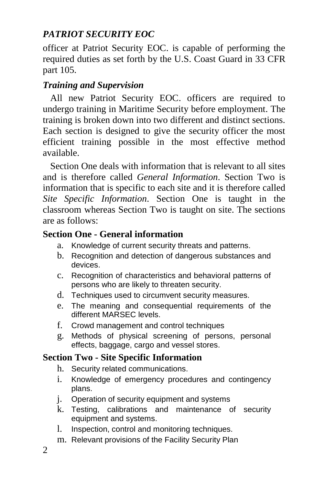officer at Patriot Security EOC. is capable of performing the required duties as set forth by the U.S. Coast Guard in 33 CFR part 105.

# *Training and Supervision*

All new Patriot Security EOC. officers are required to undergo training in Maritime Security before employment. The training is broken down into two different and distinct sections. Each section is designed to give the security officer the most efficient training possible in the most effective method available.

Section One deals with information that is relevant to all sites and is therefore called *General Information*. Section Two is information that is specific to each site and it is therefore called *Site Specific Information*. Section One is taught in the classroom whereas Section Two is taught on site. The sections are as follows:

# **Section One - General information**

- a. Knowledge of current security threats and patterns.
- b. Recognition and detection of dangerous substances and devices.
- c. Recognition of characteristics and behavioral patterns of persons who are likely to threaten security.
- d. Techniques used to circumvent security measures.
- e. The meaning and consequential requirements of the different MARSEC levels.
- f. Crowd management and control techniques
- g. Methods of physical screening of persons, personal effects, baggage, cargo and vessel stores.

# **Section Two - Site Specific Information**

- h. Security related communications.
- i. Knowledge of emergency procedures and contingency plans.
- j. Operation of security equipment and systems
- k. Testing, calibrations and maintenance of security equipment and systems.
- l. Inspection, control and monitoring techniques.
- m. Relevant provisions of the Facility Security Plan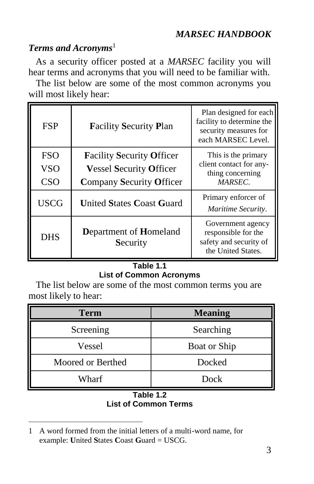# **Terms and Acronyms**<sup>1</sup>

As a security officer posted at a *MARSEC* facility you will hear terms and acronyms that you will need to be familiar with.

The list below are some of the most common acronyms you will most likely hear:

| <b>FSP</b>                             | <b>Facility Security Plan</b>                                                                         | Plan designed for each<br>facility to determine the<br>security measures for<br>each MARSEC Level. |
|----------------------------------------|-------------------------------------------------------------------------------------------------------|----------------------------------------------------------------------------------------------------|
| <b>FSO</b><br><b>VSO</b><br><b>CSO</b> | <b>Facility Security Officer</b><br><b>Vessel Security Officer</b><br><b>Company Security Officer</b> | This is the primary<br>client contact for any-<br>thing concerning<br>MARSEC.                      |
| <b>USCG</b>                            | <b>United States Coast Guard</b>                                                                      | Primary enforcer of<br>Maritime Security.                                                          |
| <b>DHS</b>                             | Department of Homeland<br>Security                                                                    | Government agency<br>responsible for the<br>safety and security of<br>the United States.           |

#### **Table 1.1 List of Common Acronyms**

The list below are some of the most common terms you are most likely to hear:

| <b>Term</b>       | <b>Meaning</b> |
|-------------------|----------------|
| Screening         | Searching      |
| Vessel            | Boat or Ship   |
| Moored or Berthed | Docked         |
| Wharf             | Dock           |

#### **Table 1.2 List of Common Terms**

 $\overline{a}$ 

<sup>1</sup> A word formed from the initial letters of a multi-word name, for example: **U**nited **S**tates **C**oast **G**uard = USCG.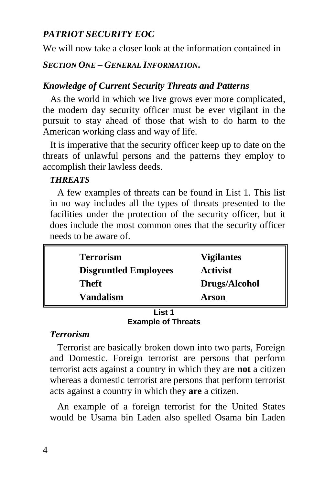We will now take a closer look at the information contained in

*SECTION ONE – GENERAL INFORMATION***.**

# *Knowledge of Current Security Threats and Patterns*

As the world in which we live grows ever more complicated, the modern day security officer must be ever vigilant in the pursuit to stay ahead of those that wish to do harm to the American working class and way of life.

It is imperative that the security officer keep up to date on the threats of unlawful persons and the patterns they employ to accomplish their lawless deeds.

# *THREATS*

A few examples of threats can be found in List 1. This list in no way includes all the types of threats presented to the facilities under the protection of the security officer, but it does include the most common ones that the security officer needs to be aware of.

| <b>Terrorism</b><br><b>Disgruntled Employees</b> | <b>Vigilantes</b><br><b>Activist</b> |
|--------------------------------------------------|--------------------------------------|
| Theft                                            | Drugs/Alcohol                        |
| Vandalism                                        | Arson                                |

#### **List 1 Example of Threats**

# *Terrorism*

Terrorist are basically broken down into two parts, Foreign and Domestic. Foreign terrorist are persons that perform terrorist acts against a country in which they are **not** a citizen whereas a domestic terrorist are persons that perform terrorist acts against a country in which they **are** a citizen.

An example of a foreign terrorist for the United States would be Usama bin Laden also spelled Osama bin Laden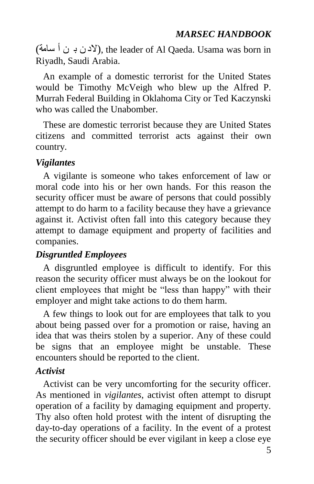(سامة أ ن ب ن الد(, the leader of Al Qaeda. Usama was born in Riyadh, Saudi Arabia.

An example of a domestic terrorist for the United States would be Timothy McVeigh who blew up the Alfred P. Murrah Federal Building in Oklahoma City or Ted Kaczynski who was called the Unabomber.

These are domestic terrorist because they are United States citizens and committed terrorist acts against their own country.

# *Vigilantes*

A vigilante is someone who takes enforcement of law or moral code into his or her own hands. For this reason the security officer must be aware of persons that could possibly attempt to do harm to a facility because they have a grievance against it. Activist often fall into this category because they attempt to damage equipment and property of facilities and companies.

# *Disgruntled Employees*

A disgruntled employee is difficult to identify. For this reason the security officer must always be on the lookout for client employees that might be "less than happy" with their employer and might take actions to do them harm.

A few things to look out for are employees that talk to you about being passed over for a promotion or raise, having an idea that was theirs stolen by a superior. Any of these could be signs that an employee might be unstable. These encounters should be reported to the client.

# *Activist*

Activist can be very uncomforting for the security officer. As mentioned in *vigilantes*, activist often attempt to disrupt operation of a facility by damaging equipment and property. Thy also often hold protest with the intent of disrupting the day-to-day operations of a facility. In the event of a protest the security officer should be ever vigilant in keep a close eye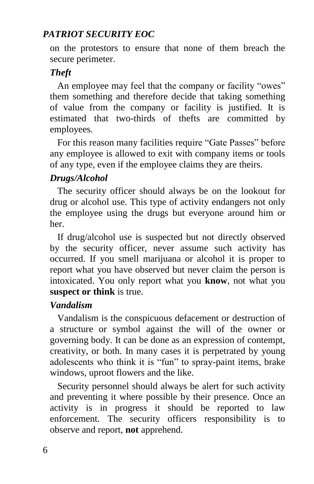on the protestors to ensure that none of them breach the secure perimeter.

## *Theft*

An employee may feel that the company or facility "owes" them something and therefore decide that taking something of value from the company or facility is justified. It is estimated that two-thirds of thefts are committed by employees.

For this reason many facilities require "Gate Passes" before any employee is allowed to exit with company items or tools of any type, even if the employee claims they are theirs.

# *Drugs/Alcohol*

The security officer should always be on the lookout for drug or alcohol use. This type of activity endangers not only the employee using the drugs but everyone around him or her.

If drug/alcohol use is suspected but not directly observed by the security officer, never assume such activity has occurred. If you smell marijuana or alcohol it is proper to report what you have observed but never claim the person is intoxicated. You only report what you **know**, not what you **suspect or think** is true.

#### *Vandalism*

Vandalism is the conspicuous defacement or destruction of a structure or symbol against the will of the owner or governing body. It can be done as an expression of contempt, creativity, or both. In many cases it is perpetrated by young adolescents who think it is "fun" to spray-paint items, brake windows, uproot flowers and the like.

Security personnel should always be alert for such activity and preventing it where possible by their presence. Once an activity is in progress it should be reported to law enforcement. The security officers responsibility is to observe and report, **not** apprehend.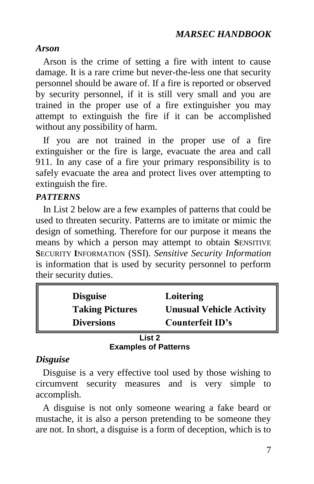# *Arson*

Arson is the crime of setting a fire with intent to cause damage. It is a rare crime but never-the-less one that security personnel should be aware of. If a fire is reported or observed by security personnel, if it is still very small and you are trained in the proper use of a fire extinguisher you may attempt to extinguish the fire if it can be accomplished without any possibility of harm.

If you are not trained in the proper use of a fire extinguisher or the fire is large, evacuate the area and call 911. In any case of a fire your primary responsibility is to safely evacuate the area and protect lives over attempting to extinguish the fire.

# *PATTERNS*

In List 2 below are a few examples of patterns that could be used to threaten security. Patterns are to imitate or mimic the design of something. Therefore for our purpose it means the means by which a person may attempt to obtain **S**ENSITIVE **S**ECURITY **I**NFORMATION (SSI). *Sensitive Security Information* is information that is used by security personnel to perform their security duties.

| <b>Disguise</b>        | Loitering                       |
|------------------------|---------------------------------|
| <b>Taking Pictures</b> | <b>Unusual Vehicle Activity</b> |
| <b>Diversions</b>      | Counterfeit ID's                |
| l ist 2                |                                 |

# **Examples of Patterns**

# *Disguise*

Disguise is a very effective tool used by those wishing to circumvent security measures and is very simple to accomplish.

A disguise is not only someone wearing a fake beard or mustache, it is also a person pretending to be someone they are not. In short, a disguise is a form of deception, which is to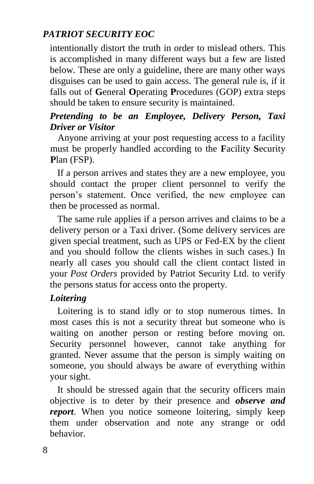intentionally distort the truth in order to mislead others. This is accomplished in many different ways but a few are listed below. These are only a guideline, there are many other ways disguises can be used to gain access. The general rule is, if it falls out of **G**eneral **O**perating **P**rocedures (GOP) extra steps should be taken to ensure security is maintained.

# *Pretending to be an Employee, Delivery Person, Taxi Driver or Visitor*

Anyone arriving at your post requesting access to a facility must be properly handled according to the **F**acility **S**ecurity **P**lan (FSP).

If a person arrives and states they are a new employee, you should contact the proper client personnel to verify the person's statement. Once verified, the new employee can then be processed as normal.

The same rule applies if a person arrives and claims to be a delivery person or a Taxi driver. (Some delivery services are given special treatment, such as UPS or Fed-EX by the client and you should follow the clients wishes in such cases.) In nearly all cases you should call the client contact listed in your *Post Orders* provided by Patriot Security Ltd. to verify the persons status for access onto the property.

#### *Loitering*

Loitering is to stand idly or to stop numerous times. In most cases this is not a security threat but someone who is waiting on another person or resting before moving on. Security personnel however, cannot take anything for granted. Never assume that the person is simply waiting on someone, you should always be aware of everything within your sight.

It should be stressed again that the security officers main objective is to deter by their presence and *observe and report*. When you notice someone loitering, simply keep them under observation and note any strange or odd behavior.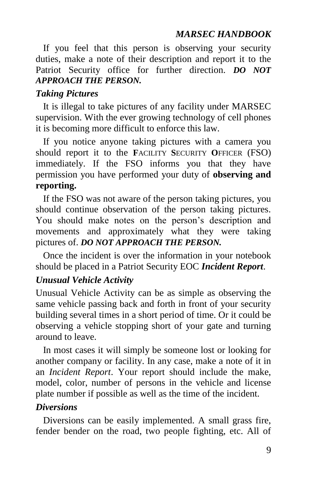If you feel that this person is observing your security duties, make a note of their description and report it to the Patriot Security office for further direction. *DO NOT APPROACH THE PERSON.*

## *Taking Pictures*

It is illegal to take pictures of any facility under MARSEC supervision. With the ever growing technology of cell phones it is becoming more difficult to enforce this law.

If you notice anyone taking pictures with a camera you should report it to the **F**ACILITY **S**ECURITY **O**FFICER (FSO) immediately. If the FSO informs you that they have permission you have performed your duty of **observing and reporting.**

If the FSO was not aware of the person taking pictures, you should continue observation of the person taking pictures. You should make notes on the person's description and movements and approximately what they were taking pictures of. *DO NOT APPROACH THE PERSON.*

Once the incident is over the information in your notebook should be placed in a Patriot Security EOC *Incident Report*.

#### *Unusual Vehicle Activity*

Unusual Vehicle Activity can be as simple as observing the same vehicle passing back and forth in front of your security building several times in a short period of time. Or it could be observing a vehicle stopping short of your gate and turning around to leave.

In most cases it will simply be someone lost or looking for another company or facility. In any case, make a note of it in an *Incident Report*. Your report should include the make, model, color, number of persons in the vehicle and license plate number if possible as well as the time of the incident.

#### *Diversions*

Diversions can be easily implemented. A small grass fire, fender bender on the road, two people fighting, etc. All of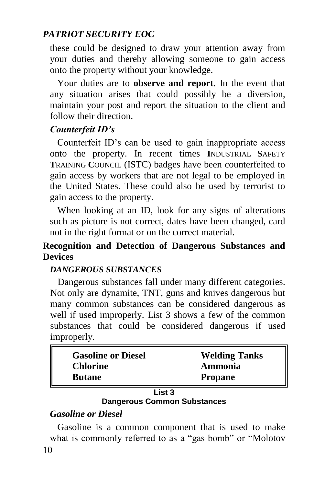these could be designed to draw your attention away from your duties and thereby allowing someone to gain access onto the property without your knowledge.

Your duties are to **observe and report**. In the event that any situation arises that could possibly be a diversion, maintain your post and report the situation to the client and follow their direction.

# *Counterfeit ID's*

Counterfeit ID's can be used to gain inappropriate access onto the property. In recent times **I**NDUSTRIAL **S**AFETY **T**RAINING **C**OUNCIL (ISTC) badges have been counterfeited to gain access by workers that are not legal to be employed in the United States. These could also be used by terrorist to gain access to the property.

When looking at an ID, look for any signs of alterations such as picture is not correct, dates have been changed, card not in the right format or on the correct material.

# **Recognition and Detection of Dangerous Substances and Devices**

# *DANGEROUS SUBSTANCES*

Dangerous substances fall under many different categories. Not only are dynamite, TNT, guns and knives dangerous but many common substances can be considered dangerous as well if used improperly. List 3 shows a few of the common substances that could be considered dangerous if used improperly.

| <b>Gasoline or Diesel</b> | <b>Welding Tanks</b> |
|---------------------------|----------------------|
| <b>Chlorine</b>           | Ammonia              |
| <b>Butane</b>             | <b>Propane</b>       |

#### **List 3 Dangerous Common Substances**

# *Gasoline or Diesel*

10 Gasoline is a common component that is used to make what is commonly referred to as a "gas bomb" or "Molotov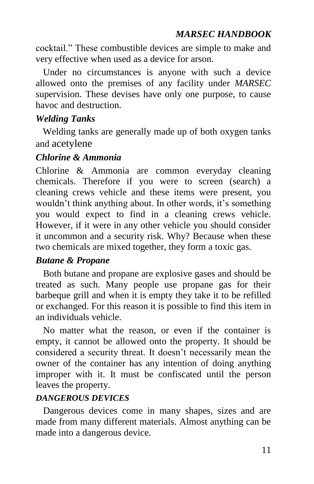cocktail." These combustible devices are simple to make and very effective when used as a device for arson.

Under no circumstances is anyone with such a device allowed onto the premises of any facility under *MARSEC* supervision. These devises have only one purpose, to cause havoc and destruction.

# *Welding Tanks*

Welding tanks are generally made up of both oxygen tanks and acetylene

# *Chlorine & Ammonia*

Chlorine & Ammonia are common everyday cleaning chemicals. Therefore if you were to screen (search) a cleaning crews vehicle and these items were present, you wouldn't think anything about. In other words, it's something you would expect to find in a cleaning crews vehicle. However, if it were in any other vehicle you should consider it uncommon and a security risk. Why? Because when these two chemicals are mixed together, they form a toxic gas.

# *Butane & Propane*

Both butane and propane are explosive gases and should be treated as such. Many people use propane gas for their barbeque grill and when it is empty they take it to be refilled or exchanged. For this reason it is possible to find this item in an individuals vehicle.

No matter what the reason, or even if the container is empty, it cannot be allowed onto the property. It should be considered a security threat. It doesn't necessarily mean the owner of the container has any intention of doing anything improper with it. It must be confiscated until the person leaves the property.

# *DANGEROUS DEVICES*

Dangerous devices come in many shapes, sizes and are made from many different materials. Almost anything can be made into a dangerous device.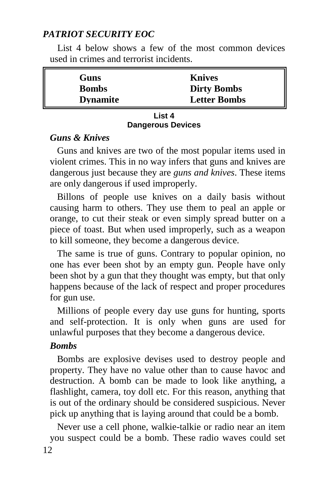List 4 below shows a few of the most common devices used in crimes and terrorist incidents.

| Guns            | <b>Knives</b>       |
|-----------------|---------------------|
| <b>Bombs</b>    | <b>Dirty Bombs</b>  |
| <b>Dynamite</b> | <b>Letter Bombs</b> |

#### **List 4 Dangerous Devices**

#### *Guns & Knives*

Guns and knives are two of the most popular items used in violent crimes. This in no way infers that guns and knives are dangerous just because they are *guns and knives*. These items are only dangerous if used improperly.

Billons of people use knives on a daily basis without causing harm to others. They use them to peal an apple or orange, to cut their steak or even simply spread butter on a piece of toast. But when used improperly, such as a weapon to kill someone, they become a dangerous device.

The same is true of guns. Contrary to popular opinion, no one has ever been shot by an empty gun. People have only been shot by a gun that they thought was empty, but that only happens because of the lack of respect and proper procedures for gun use.

Millions of people every day use guns for hunting, sports and self-protection. It is only when guns are used for unlawful purposes that they become a dangerous device.

#### *Bombs*

Bombs are explosive devises used to destroy people and property. They have no value other than to cause havoc and destruction. A bomb can be made to look like anything, a flashlight, camera, toy doll etc. For this reason, anything that is out of the ordinary should be considered suspicious. Never pick up anything that is laying around that could be a bomb.

12 Never use a cell phone, walkie-talkie or radio near an item you suspect could be a bomb. These radio waves could set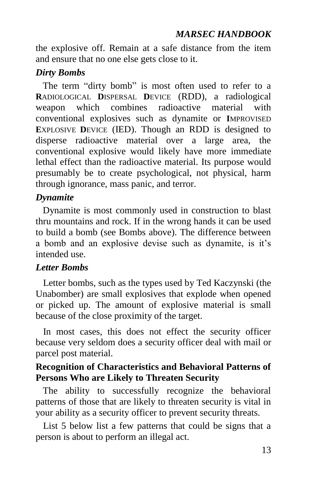the explosive off. Remain at a safe distance from the item and ensure that no one else gets close to it.

#### *Dirty Bombs*

The term "dirty bomb" is most often used to refer to a **R**ADIOLOGICAL **D**ISPERSAL **D**EVICE (RDD), a radiological weapon which combines radioactive material with conventional explosives such as dynamite or **I**MPROVISED **E**XPLOSIVE **D**EVICE (IED). Though an RDD is designed to disperse radioactive material over a large area, the conventional explosive would likely have more immediate lethal effect than the radioactive material. Its purpose would presumably be to create psychological, not physical, harm through ignorance, mass panic, and terror.

#### *Dynamite*

Dynamite is most commonly used in construction to blast thru mountains and rock. If in the wrong hands it can be used to build a bomb (see Bombs above). The difference between a bomb and an explosive devise such as dynamite, is it's intended use.

#### *Letter Bombs*

Letter bombs, such as the types used by Ted Kaczynski (the Unabomber) are small explosives that explode when opened or picked up. The amount of explosive material is small because of the close proximity of the target.

In most cases, this does not effect the security officer because very seldom does a security officer deal with mail or parcel post material.

#### **Recognition of Characteristics and Behavioral Patterns of Persons Who are Likely to Threaten Security**

The ability to successfully recognize the behavioral patterns of those that are likely to threaten security is vital in your ability as a security officer to prevent security threats.

List 5 below list a few patterns that could be signs that a person is about to perform an illegal act.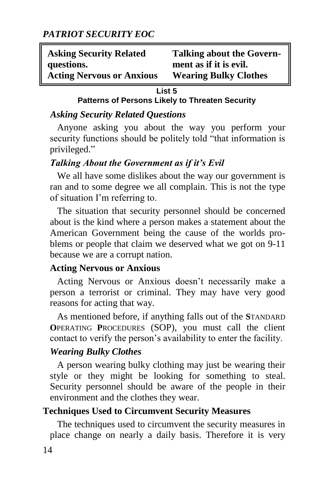| <b>Asking Security Related</b>   | <b>Talking about the Govern-</b> |
|----------------------------------|----------------------------------|
| questions.                       | ment as if it is evil.           |
| <b>Acting Nervous or Anxious</b> | <b>Wearing Bulky Clothes</b>     |

#### **List 5**

#### **Patterns of Persons Likely to Threaten Security**

#### *Asking Security Related Questions*

Anyone asking you about the way you perform your security functions should be politely told "that information is privileged."

#### *Talking About the Government as if it's Evil*

We all have some dislikes about the way our government is ran and to some degree we all complain. This is not the type of situation I'm referring to.

The situation that security personnel should be concerned about is the kind where a person makes a statement about the American Government being the cause of the worlds problems or people that claim we deserved what we got on 9-11 because we are a corrupt nation.

#### **Acting Nervous or Anxious**

Acting Nervous or Anxious doesn't necessarily make a person a terrorist or criminal. They may have very good reasons for acting that way.

As mentioned before, if anything falls out of the **S**TANDARD **O**PERATING **P**ROCEDURES (SOP), you must call the client contact to verify the person's availability to enter the facility.

# *Wearing Bulky Clothes*

A person wearing bulky clothing may just be wearing their style or they might be looking for something to steal. Security personnel should be aware of the people in their environment and the clothes they wear.

# **Techniques Used to Circumvent Security Measures**

The techniques used to circumvent the security measures in place change on nearly a daily basis. Therefore it is very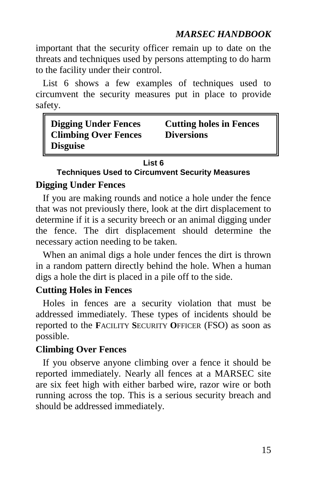important that the security officer remain up to date on the threats and techniques used by persons attempting to do harm to the facility under their control.

List 6 shows a few examples of techniques used to circumvent the security measures put in place to provide safety.

| <b>Digging Under Fences</b> | <b>Cutting holes in Fences</b> |
|-----------------------------|--------------------------------|
| <b>Climbing Over Fences</b> | <b>Diversions</b>              |
| <b>Disguise</b>             |                                |

#### **List 6**

# **Techniques Used to Circumvent Security Measures**

#### **Digging Under Fences**

If you are making rounds and notice a hole under the fence that was not previously there, look at the dirt displacement to determine if it is a security breech or an animal digging under the fence. The dirt displacement should determine the necessary action needing to be taken.

When an animal digs a hole under fences the dirt is thrown in a random pattern directly behind the hole. When a human digs a hole the dirt is placed in a pile off to the side.

# **Cutting Holes in Fences**

Holes in fences are a security violation that must be addressed immediately. These types of incidents should be reported to the **F**ACILITY **S**ECURITY **O**FFICER (FSO) as soon as possible.

# **Climbing Over Fences**

If you observe anyone climbing over a fence it should be reported immediately. Nearly all fences at a MARSEC site are six feet high with either barbed wire, razor wire or both running across the top. This is a serious security breach and should be addressed immediately.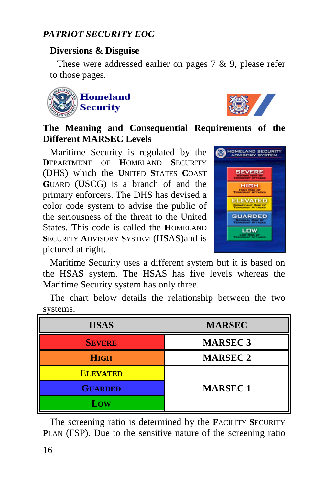# **Diversions & Disguise**

These were addressed earlier on pages 7 & 9, please refer to those pages.





# **The Meaning and Consequential Requirements of the Different MARSEC Levels**

Maritime Security is regulated by the **D**EPARTMENT OF **H**OMELAND **S**ECURITY (DHS) which the **U**NITED **S**TATES **C**OAST **G**UARD (USCG) is a branch of and the primary enforcers. The DHS has devised a color code system to advise the public of the seriousness of the threat to the United States. This code is called the **H**OMELAND **S**ECURITY **A**DVISORY **S**YSTEM (HSAS)and is pictured at right.



Maritime Security uses a different system but it is based on the HSAS system. The HSAS has five levels whereas the Maritime Security system has only three.

The chart below details the relationship between the two systems.

| <b>HSAS</b>     | <b>MARSEC</b>   |
|-----------------|-----------------|
| <b>SEVERE</b>   | <b>MARSEC 3</b> |
| <b>HIGH</b>     | <b>MARSEC 2</b> |
| <b>ELEVATED</b> |                 |
| <b>GUARDED</b>  | <b>MARSEC1</b>  |
| Low             |                 |

The screening ratio is determined by the **F**ACILITY **S**ECURITY **P**LAN (FSP). Due to the sensitive nature of the screening ratio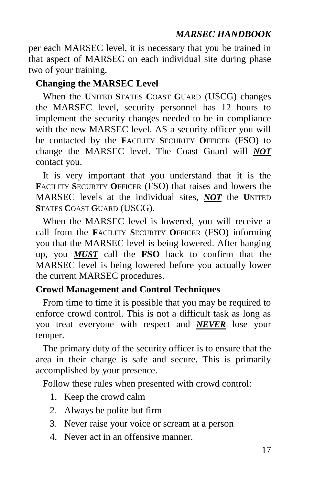per each MARSEC level, it is necessary that you be trained in that aspect of MARSEC on each individual site during phase two of your training.

# **Changing the MARSEC Level**

When the **U**NITED **S**TATES **C**OAST **G**UARD (USCG) changes the MARSEC level, security personnel has 12 hours to implement the security changes needed to be in compliance with the new MARSEC level. AS a security officer you will be contacted by the **F**ACILITY **S**ECURITY **O**FFICER (FSO) to change the MARSEC level. The Coast Guard will *NOT* contact you.

It is very important that you understand that it is the **F**ACILITY **S**ECURITY **O**FFICER (FSO) that raises and lowers the MARSEC levels at the individual sites, *NOT* the **U**NITED **S**TATES **C**OAST **G**UARD (USCG).

When the MARSEC level is lowered, you will receive a call from the **F**ACILITY **S**ECURITY **O**FFICER (FSO) informing you that the MARSEC level is being lowered. After hanging up, you *MUST* call the **FSO** back to confirm that the MARSEC level is being lowered before you actually lower the current MARSEC procedures.

# **Crowd Management and Control Techniques**

From time to time it is possible that you may be required to enforce crowd control. This is not a difficult task as long as you treat everyone with respect and *NEVER* lose your temper.

The primary duty of the security officer is to ensure that the area in their charge is safe and secure. This is primarily accomplished by your presence.

Follow these rules when presented with crowd control:

- 1. Keep the crowd calm
- 2. Always be polite but firm
- 3. Never raise your voice or scream at a person
- 4. Never act in an offensive manner.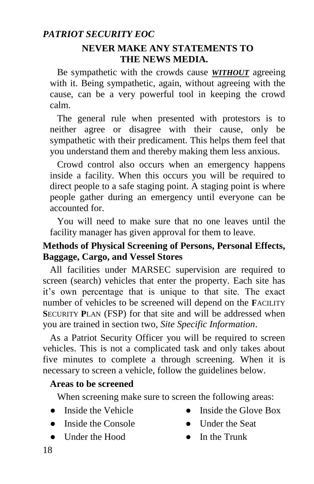#### **NEVER MAKE ANY STATEMENTS TO THE NEWS MEDIA.**

Be sympathetic with the crowds cause *WITHOUT* agreeing with it. Being sympathetic, again, without agreeing with the cause, can be a very powerful tool in keeping the crowd calm.

The general rule when presented with protestors is to neither agree or disagree with their cause, only be sympathetic with their predicament. This helps them feel that you understand them and thereby making them less anxious.

Crowd control also occurs when an emergency happens inside a facility. When this occurs you will be required to direct people to a safe staging point. A staging point is where people gather during an emergency until everyone can be accounted for.

You will need to make sure that no one leaves until the facility manager has given approval for them to leave.

# **Methods of Physical Screening of Persons, Personal Effects, Baggage, Cargo, and Vessel Stores**

All facilities under MARSEC supervision are required to screen (search) vehicles that enter the property. Each site has it's own percentage that is unique to that site. The exact number of vehicles to be screened will depend on the **F**ACILITY **S**ECURITY **P**LAN (FSP) for that site and will be addressed when you are trained in section two, *Site Specific Information*.

As a Patriot Security Officer you will be required to screen vehicles. This is not a complicated task and only takes about five minutes to complete a through screening. When it is necessary to screen a vehicle, follow the guidelines below.

# **Areas to be screened**

When screening make sure to screen the following areas:

- 
- Inside the Console Under the Seat
- Under the Hood In the Trunk
- Inside the Vehicle Inside the Glove Box
	-
	-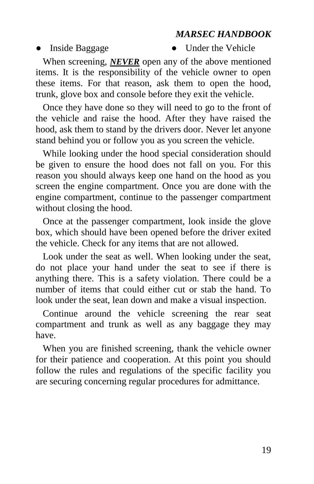#### • Inside Baggage • Under the Vehicle

When screening, *NEVER* open any of the above mentioned items. It is the responsibility of the vehicle owner to open these items. For that reason, ask them to open the hood, trunk, glove box and console before they exit the vehicle.

Once they have done so they will need to go to the front of the vehicle and raise the hood. After they have raised the hood, ask them to stand by the drivers door. Never let anyone stand behind you or follow you as you screen the vehicle.

While looking under the hood special consideration should be given to ensure the hood does not fall on you. For this reason you should always keep one hand on the hood as you screen the engine compartment. Once you are done with the engine compartment, continue to the passenger compartment without closing the hood.

Once at the passenger compartment, look inside the glove box, which should have been opened before the driver exited the vehicle. Check for any items that are not allowed.

Look under the seat as well. When looking under the seat, do not place your hand under the seat to see if there is anything there. This is a safety violation. There could be a number of items that could either cut or stab the hand. To look under the seat, lean down and make a visual inspection.

Continue around the vehicle screening the rear seat compartment and trunk as well as any baggage they may have.

When you are finished screening, thank the vehicle owner for their patience and cooperation. At this point you should follow the rules and regulations of the specific facility you are securing concerning regular procedures for admittance.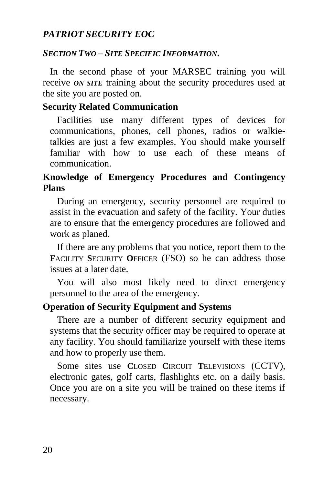#### *SECTION TWO – SITE SPECIFIC INFORMATION***.**

In the second phase of your MARSEC training you will receive *ON SITE* training about the security procedures used at the site you are posted on.

#### **Security Related Communication**

Facilities use many different types of devices for communications, phones, cell phones, radios or walkietalkies are just a few examples. You should make yourself familiar with how to use each of these means of communication.

# **Knowledge of Emergency Procedures and Contingency Plans**

During an emergency, security personnel are required to assist in the evacuation and safety of the facility. Your duties are to ensure that the emergency procedures are followed and work as planed.

If there are any problems that you notice, report them to the **F**ACILITY **S**ECURITY **O**FFICER (FSO) so he can address those issues at a later date.

You will also most likely need to direct emergency personnel to the area of the emergency.

# **Operation of Security Equipment and Systems**

There are a number of different security equipment and systems that the security officer may be required to operate at any facility. You should familiarize yourself with these items and how to properly use them.

Some sites use **C**LOSED **C**IRCUIT **T**ELEVISIONS (CCTV), electronic gates, golf carts, flashlights etc. on a daily basis. Once you are on a site you will be trained on these items if necessary.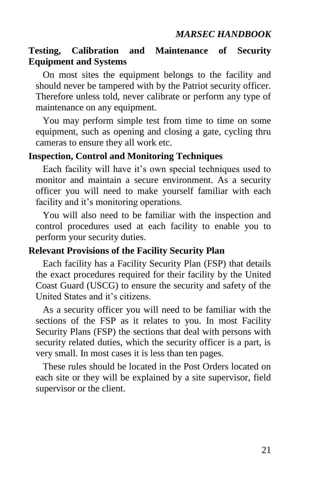# **Testing, Calibration and Maintenance of Security Equipment and Systems**

On most sites the equipment belongs to the facility and should never be tampered with by the Patriot security officer. Therefore unless told, never calibrate or perform any type of maintenance on any equipment.

You may perform simple test from time to time on some equipment, such as opening and closing a gate, cycling thru cameras to ensure they all work etc.

#### **Inspection, Control and Monitoring Techniques**

Each facility will have it's own special techniques used to monitor and maintain a secure environment. As a security officer you will need to make yourself familiar with each facility and it's monitoring operations.

You will also need to be familiar with the inspection and control procedures used at each facility to enable you to perform your security duties.

#### **Relevant Provisions of the Facility Security Plan**

Each facility has a Facility Security Plan (FSP) that details the exact procedures required for their facility by the United Coast Guard (USCG) to ensure the security and safety of the United States and it's citizens.

As a security officer you will need to be familiar with the sections of the FSP as it relates to you. In most Facility Security Plans (FSP) the sections that deal with persons with security related duties, which the security officer is a part, is very small. In most cases it is less than ten pages.

These rules should be located in the Post Orders located on each site or they will be explained by a site supervisor, field supervisor or the client.